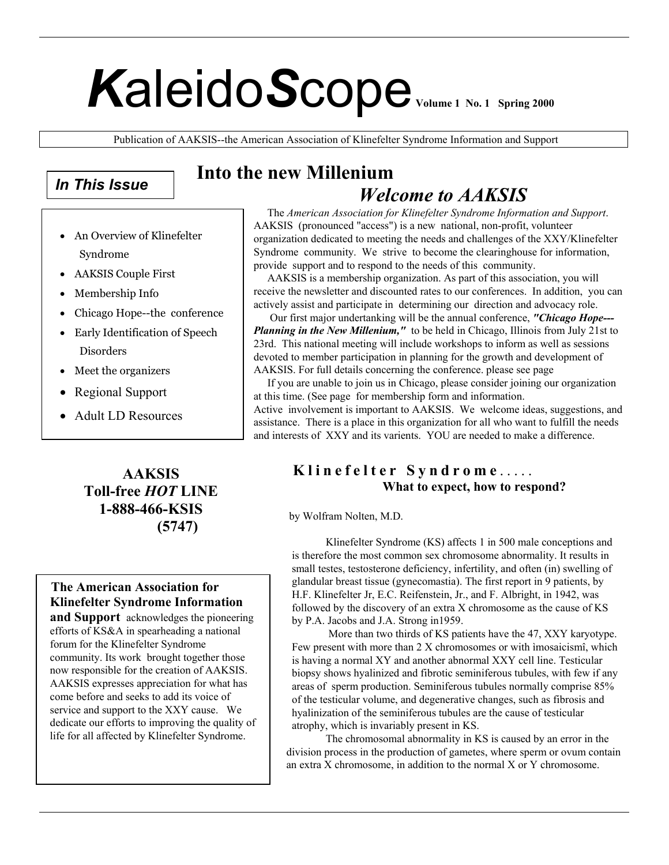# *K*aleido*S*cope **Volume 1 No. 1 Spring 2000**

Publication of AAKSIS--the American Association of Klinefelter Syndrome Information and Support

# *In This Issue*

- An Overview of Klinefelter Syndrome
- AAKSIS Couple First
- Membership Info
- Chicago Hope--the conference
- Early Identification of Speech Disorders
- Meet the organizers
- Regional Support
- Adult LD Resources

**AAKSIS Toll-free** *HOT* **LINE 1-888-466-KSIS (5747)**

# **The American Association for Klinefelter Syndrome Information**

**and Support** acknowledges the pioneering efforts of KS&A in spearheading a national forum for the Klinefelter Syndrome community. Its work brought together those now responsible for the creation of AAKSIS. AAKSIS expresses appreciation for what has come before and seeks to add its voice of service and support to the XXY cause. We dedicate our efforts to improving the quality of life for all affected by Klinefelter Syndrome.

# **Into the new Millenium**   *Welcome to AAKSIS*

The *American Association for Klinefelter Syndrome Information and Support*. AAKSIS (pronounced "access") is a new national, non-profit, volunteer organization dedicated to meeting the needs and challenges of the XXY/Klinefelter Syndrome community. We strive to become the clearinghouse for information, provide support and to respond to the needs of this community.

 AAKSIS is a membership organization. As part of this association, you will receive the newsletter and discounted rates to our conferences. In addition, you can actively assist and participate in determining our direction and advocacy role.

 Our first major undertanking will be the annual conference, *"Chicago Hope--- Planning in the New Millenium,"* to be held in Chicago, Illinois from July 21st to 23rd. This national meeting will include workshops to inform as well as sessions devoted to member participation in planning for the growth and development of AAKSIS. For full details concerning the conference. please see page

 If you are unable to join us in Chicago, please consider joining our organization at this time. (See page for membership form and information.

Active involvement is important to AAKSIS. We welcome ideas, suggestions, and assistance. There is a place in this organization for all who want to fulfill the needs and interests of XXY and its varients. YOU are needed to make a difference.

# **Klinefelter Syndrome** .....  **What to expect, how to respond?**

by Wolfram Nolten, M.D.

 Klinefelter Syndrome (KS) affects 1 in 500 male conceptions and is therefore the most common sex chromosome abnormality. It results in small testes, testosterone deficiency, infertility, and often (in) swelling of glandular breast tissue (gynecomastia). The first report in 9 patients, by H.F. Klinefelter Jr, E.C. Reifenstein, Jr., and F. Albright, in 1942, was followed by the discovery of an extra X chromosome as the cause of KS by P.A. Jacobs and J.A. Strong in1959.

 More than two thirds of KS patients have the 47, XXY karyotype. Few present with more than 2 X chromosomes or with ìmosaicismî, which is having a normal XY and another abnormal XXY cell line. Testicular biopsy shows hyalinized and fibrotic seminiferous tubules, with few if any areas of sperm production. Seminiferous tubules normally comprise 85% of the testicular volume, and degenerative changes, such as fibrosis and hyalinization of the seminiferous tubules are the cause of testicular atrophy, which is invariably present in KS.

 The chromosomal abnormality in KS is caused by an error in the division process in the production of gametes, where sperm or ovum contain an extra X chromosome, in addition to the normal X or Y chromosome.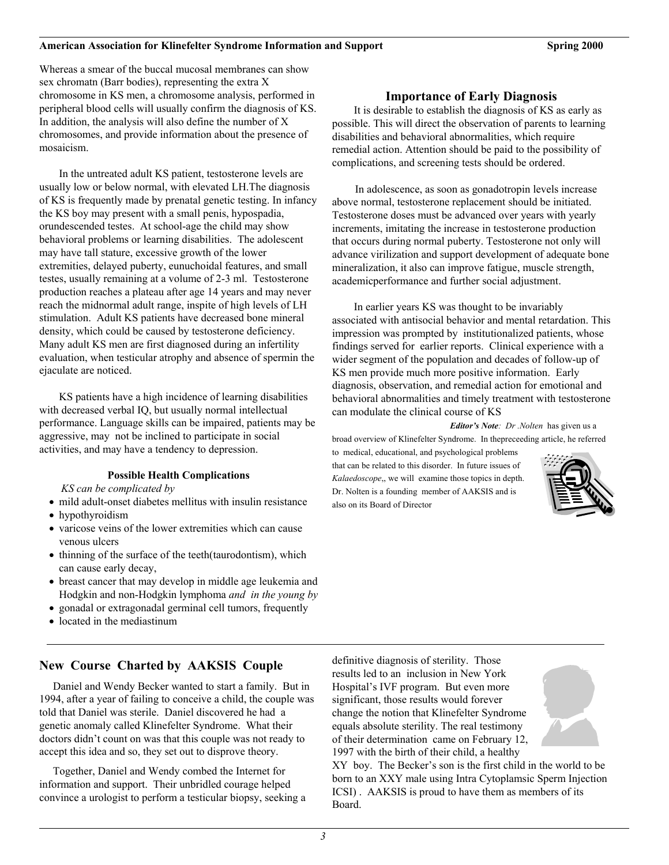#### **American Association for Klinefelter Syndrome Information and Support Spring 2000**

Whereas a smear of the buccal mucosal membranes can show sex chromatn (Barr bodies), representing the extra X chromosome in KS men, a chromosome analysis, performed in peripheral blood cells will usually confirm the diagnosis of KS. In addition, the analysis will also define the number of X chromosomes, and provide information about the presence of mosaicism.

In the untreated adult KS patient, testosterone levels are usually low or below normal, with elevated LH.The diagnosis of KS is frequently made by prenatal genetic testing. In infancy the KS boy may present with a small penis, hypospadia, orundescended testes. At school-age the child may show behavioral problems or learning disabilities. The adolescent may have tall stature, excessive growth of the lower extremities, delayed puberty, eunuchoidal features, and small testes, usually remaining at a volume of 2-3 ml. Testosterone production reaches a plateau after age 14 years and may never reach the midnormal adult range, inspite of high levels of LH stimulation. Adult KS patients have decreased bone mineral density, which could be caused by testosterone deficiency. Many adult KS men are first diagnosed during an infertility evaluation, when testicular atrophy and absence of spermin the ejaculate are noticed.

KS patients have a high incidence of learning disabilities with decreased verbal IQ, but usually normal intellectual performance. Language skills can be impaired, patients may be aggressive, may not be inclined to participate in social activities, and may have a tendency to depression.

## **Possible Health Complications**

*KS can be complicated by*

- mild adult-onset diabetes mellitus with insulin resistance
- hypothyroidism
- varicose veins of the lower extremities which can cause venous ulcers
- thinning of the surface of the teeth(taurodontism), which can cause early decay,
- breast cancer that may develop in middle age leukemia and Hodgkin and non-Hodgkin lymphoma *and in the young by*
- gonadal or extragonadal germinal cell tumors, frequently
- located in the mediastinum

## **New Course Charted by AAKSIS Couple**

 Daniel and Wendy Becker wanted to start a family. But in 1994, after a year of failing to conceive a child, the couple was told that Daniel was sterile. Daniel discovered he had a genetic anomaly called Klinefelter Syndrome. What their doctors didn't count on was that this couple was not ready to accept this idea and so, they set out to disprove theory.

 Together, Daniel and Wendy combed the Internet for information and support. Their unbridled courage helped convince a urologist to perform a testicular biopsy, seeking a **Importance of Early Diagnosis** 

It is desirable to establish the diagnosis of KS as early as possible. This will direct the observation of parents to learning disabilities and behavioral abnormalities, which require remedial action. Attention should be paid to the possibility of complications, and screening tests should be ordered.

 In adolescence, as soon as gonadotropin levels increase above normal, testosterone replacement should be initiated. Testosterone doses must be advanced over years with yearly increments, imitating the increase in testosterone production that occurs during normal puberty. Testosterone not only will advance virilization and support development of adequate bone mineralization, it also can improve fatigue, muscle strength, academicperformance and further social adjustment.

In earlier years KS was thought to be invariably associated with antisocial behavior and mental retardation. This impression was prompted by institutionalized patients, whose findings served for earlier reports. Clinical experience with a wider segment of the population and decades of follow-up of KS men provide much more positive information. Early diagnosis, observation, and remedial action for emotional and behavioral abnormalities and timely treatment with testosterone can modulate the clinical course of KS

*Editor's Note: Dr .Nolten* has given us a

broad overview of Klinefelter Syndrome. In thepreceeding article, he referred

to medical, educational, and psychological problems that can be related to this disorder. In future issues of *Kalaedoscope*,, we will examine those topics in depth. Dr. Nolten is a founding member of AAKSIS and is also on its Board of Director



definitive diagnosis of sterility. Those results led to an inclusion in New York Hospital's IVF program. But even more significant, those results would forever change the notion that Klinefelter Syndrome equals absolute sterility. The real testimony of their determination came on February 12, 1997 with the birth of their child, a healthy

XY boy. The Becker's son is the first child in the world to be born to an XXY male using Intra Cytoplamsic Sperm Injection ICSI) . AAKSIS is proud to have them as members of its Board.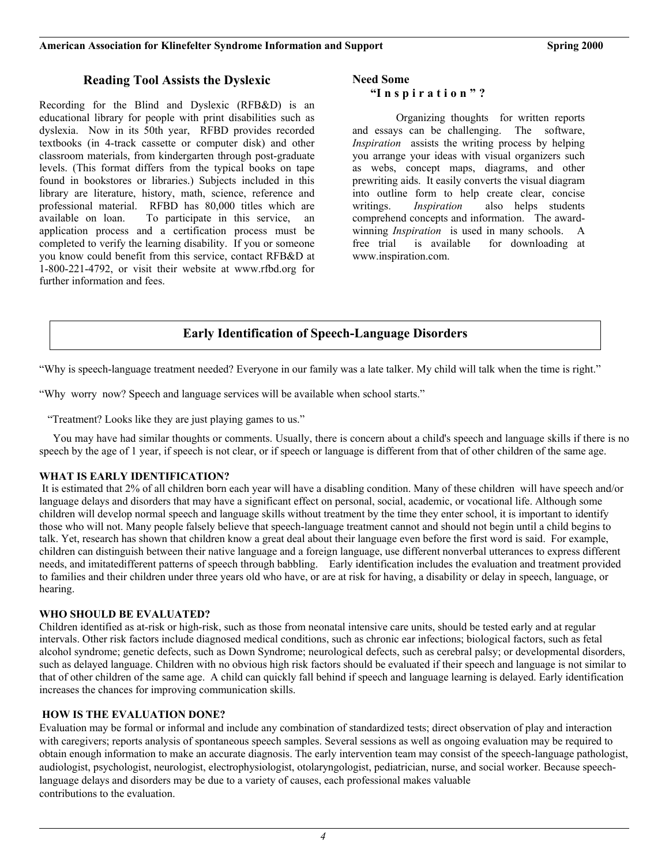## **American Association for Klinefelter Syndrome Information and Support Spring 2000**

## **Reading Tool Assists the Dyslexic**

Recording for the Blind and Dyslexic (RFB&D) is an educational library for people with print disabilities such as dyslexia. Now in its 50th year, RFBD provides recorded textbooks (in 4-track cassette or computer disk) and other classroom materials, from kindergarten through post-graduate levels. (This format differs from the typical books on tape found in bookstores or libraries.) Subjects included in this library are literature, history, math, science, reference and professional material. RFBD has 80,000 titles which are available on loan. To participate in this service, an application process and a certification process must be completed to verify the learning disability. If you or someone you know could benefit from this service, contact RFB&D at 1-800-221-4792, or visit their website at www.rfbd.org for further information and fees.

#### **Need Some**

## **"I n s p i r a t i o n " ?**

Organizing thoughts for written reports and essays can be challenging. The software, *Inspiration* assists the writing process by helping you arrange your ideas with visual organizers such as webs, concept maps, diagrams, and other prewriting aids. It easily converts the visual diagram into outline form to help create clear, concise writings. *Inspiration* also helps students comprehend concepts and information. The awardwinning *Inspiration* is used in many schools. A free trial is available for downloading at www.inspiration.com.

# **Early Identification of Speech-Language Disorders**

"Why is speech-language treatment needed? Everyone in our family was a late talker. My child will talk when the time is right."

"Why worry now? Speech and language services will be available when school starts."

"Treatment? Looks like they are just playing games to us."

 You may have had similar thoughts or comments. Usually, there is concern about a child's speech and language skills if there is no speech by the age of 1 year, if speech is not clear, or if speech or language is different from that of other children of the same age.

## **WHAT IS EARLY IDENTIFICATION?**

 It is estimated that 2% of all children born each year will have a disabling condition. Many of these children will have speech and/or language delays and disorders that may have a significant effect on personal, social, academic, or vocational life. Although some children will develop normal speech and language skills without treatment by the time they enter school, it is important to identify those who will not. Many people falsely believe that speech-language treatment cannot and should not begin until a child begins to talk. Yet, research has shown that children know a great deal about their language even before the first word is said. For example, children can distinguish between their native language and a foreign language, use different nonverbal utterances to express different needs, and imitatedifferent patterns of speech through babbling. Early identification includes the evaluation and treatment provided to families and their children under three years old who have, or are at risk for having, a disability or delay in speech, language, or hearing.

## **WHO SHOULD BE EVALUATED?**

Children identified as at-risk or high-risk, such as those from neonatal intensive care units, should be tested early and at regular intervals. Other risk factors include diagnosed medical conditions, such as chronic ear infections; biological factors, such as fetal alcohol syndrome; genetic defects, such as Down Syndrome; neurological defects, such as cerebral palsy; or developmental disorders, such as delayed language. Children with no obvious high risk factors should be evaluated if their speech and language is not similar to that of other children of the same age. A child can quickly fall behind if speech and language learning is delayed. Early identification increases the chances for improving communication skills.

## **HOW IS THE EVALUATION DONE?**

Evaluation may be formal or informal and include any combination of standardized tests; direct observation of play and interaction with caregivers; reports analysis of spontaneous speech samples. Several sessions as well as ongoing evaluation may be required to obtain enough information to make an accurate diagnosis. The early intervention team may consist of the speech-language pathologist, audiologist, psychologist, neurologist, electrophysiologist, otolaryngologist, pediatrician, nurse, and social worker. Because speechlanguage delays and disorders may be due to a variety of causes, each professional makes valuable contributions to the evaluation.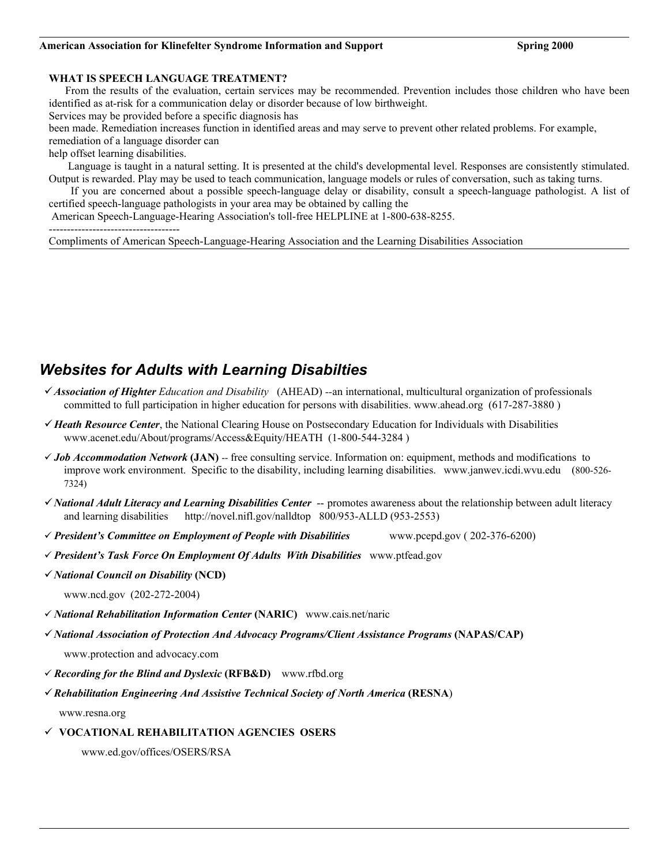#### American Association for Klinefelter Syndrome Information and Support **Support Search Spring 2000 Spring 2000**

## **WHAT IS SPEECH LANGUAGE TREATMENT?**

 From the results of the evaluation, certain services may be recommended. Prevention includes those children who have been identified as at-risk for a communication delay or disorder because of low birthweight.

Services may be provided before a specific diagnosis has

been made. Remediation increases function in identified areas and may serve to prevent other related problems. For example, remediation of a language disorder can

help offset learning disabilities.

 Language is taught in a natural setting. It is presented at the child's developmental level. Responses are consistently stimulated. Output is rewarded. Play may be used to teach communication, language models or rules of conversation, such as taking turns.

If you are concerned about a possible speech-language delay or disability, consult a speech-language pathologist. A list of certified speech-language pathologists in your area may be obtained by calling the

American Speech-Language-Hearing Association's toll-free HELPLINE at 1-800-638-8255.

------------------------------------

Compliments of American Speech-Language-Hearing Association and the Learning Disabilities Association

# *Websites for Adults with Learning Disabilties*

- 9 *Association of Highter Education and Disability* (AHEAD) *--*an international, multicultural organization of professionals committed to full participation in higher education for persons with disabilities. www.ahead.org (617-287-3880 )
- 9 *Heath Resource Center*, the National Clearing House on Postsecondary Education for Individuals with Disabilities www.acenet.edu/About/programs/Access&Equity/HEATH (1-800-544-3284 )
- 9 *Job Accommodation Network* **(JAN)** -- free consulting service. Information on: equipment, methods and modifications to improve work environment. Specific to the disability, including learning disabilities. www.janwev.icdi.wvu.edu (800-526- 7324)
- 9 *National Adult Literacy and Learning Disabilities Center* -- promotes awareness about the relationship between adult literacy and learning disabilities http://novel.nifl.gov/nalldtop 800/953-ALLD (953-2553)
- 9 *President's Committee on Employment of People with Disabilities* www.pcepd.gov ( 202-376-6200)
- 9 *President's Task Force On Employment Of Adults With Disabilities* www.ptfead.gov
- 9 *National Council on Disability* **(NCD)**
	- www.ncd.gov (202-272-2004)
- 9 *National Rehabilitation Information Center* **(NARIC)** www.cais.net/naric
- 9 *National Association of Protection And Advocacy Programs/Client Assistance Programs* **(NAPAS/CAP)**  www.protection and advocacy.com
- 9 *Recording for the Blind and Dyslexic* **(RFB&D)** www.rfbd.org
- 9 *Rehabilitation Engineering And Assistive Technical Society of North America* **(RESNA**)

www.resna.org

9 **VOCATIONAL REHABILITATION AGENCIES OSERS**

www.ed.gov/offices/OSERS/RSA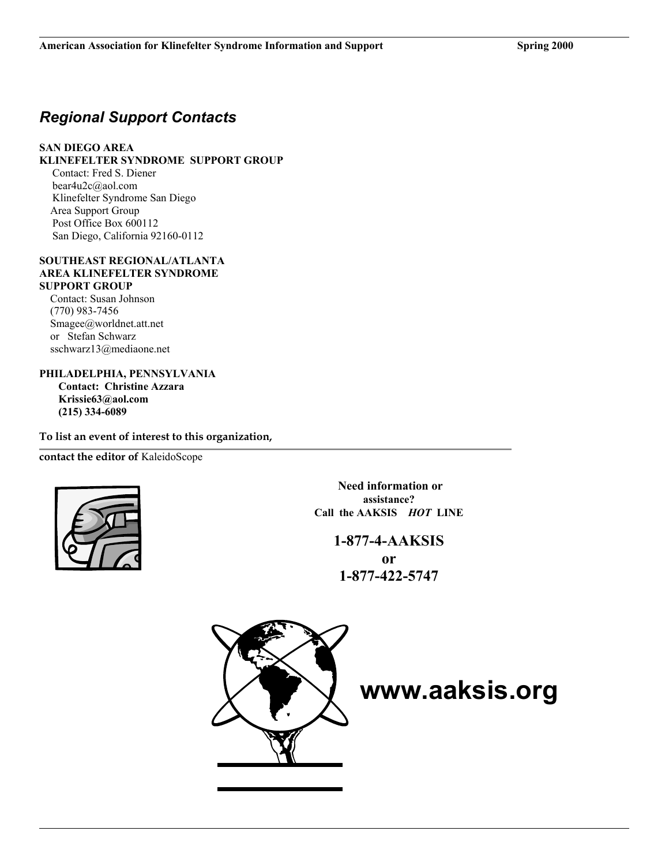# *Regional Support Contacts*

## **SAN DIEGO AREA**

## **KLINEFELTER SYNDROME SUPPORT GROUP**

Contact: Fred S. Diener bear4u2c@aol.com Klinefelter Syndrome San Diego Area Support Group Post Office Box 600112 San Diego, California 92160-0112

#### **SOUTHEAST REGIONAL/ATLANTA AREA KLINEFELTER SYNDROME SUPPORT GROUP**

Contact: Susan Johnson (770) 983-7456 Smagee@worldnet.att.net or Stefan Schwarz sschwarz13@mediaone.net

**PHILADELPHIA, PENNSYLVANIA Contact: Christine Azzara Krissie63@aol.com (215) 334-6089** 

**To list an event of interest to this organization,** 

**contact the editor of** KaleidoScope



**Need information or assistance? Call the AAKSIS** *HOT* **LINE** 

## **1-877-4-AAKSIS**

**or 1-877-422-5747** 



**www.aaksis.org**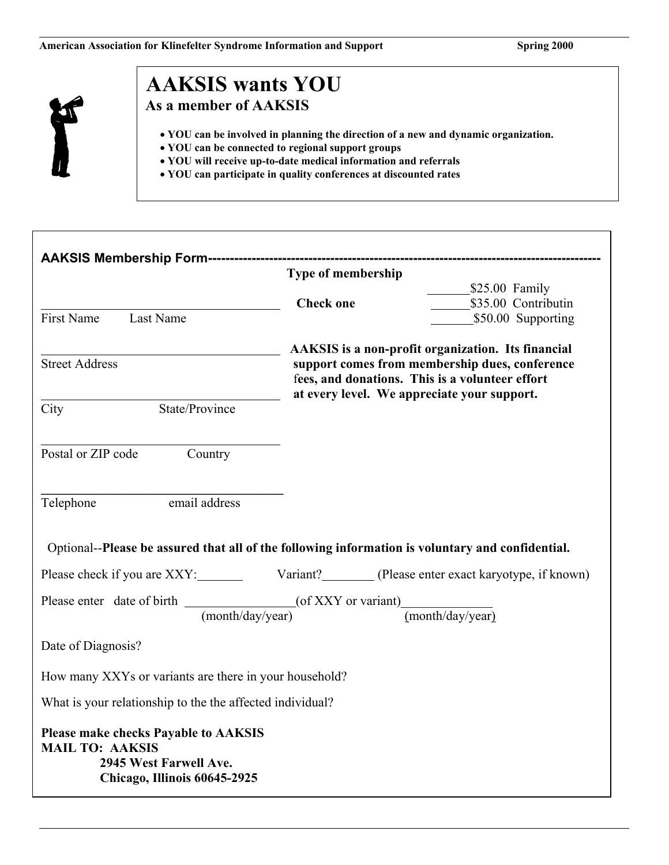

# **AAKSIS wants YOU As a member of AAKSIS**

- **YOU can be involved in planning the direction of a new and dynamic organization.**
- **YOU can be connected to regional support groups**
- **YOU will receive up-to-date medical information and referrals**
- **YOU can participate in quality conferences at discounted rates**

|                                                                                                                                 |                                                                                                                                                                                                        | ---------------------------------         |
|---------------------------------------------------------------------------------------------------------------------------------|--------------------------------------------------------------------------------------------------------------------------------------------------------------------------------------------------------|-------------------------------------------|
| <b>Type of membership</b>                                                                                                       |                                                                                                                                                                                                        |                                           |
|                                                                                                                                 |                                                                                                                                                                                                        | $$25.00$ Family                           |
| First Name<br>Last Name                                                                                                         | <b>Check one</b>                                                                                                                                                                                       | \$35.00 Contributin<br>\$50.00 Supporting |
|                                                                                                                                 |                                                                                                                                                                                                        |                                           |
| <b>Street Address</b>                                                                                                           | AAKSIS is a non-profit organization. Its financial<br>support comes from membership dues, conference<br>fees, and donations. This is a volunteer effort<br>at every level. We appreciate your support. |                                           |
| State/Province<br>City                                                                                                          |                                                                                                                                                                                                        |                                           |
|                                                                                                                                 |                                                                                                                                                                                                        |                                           |
| Postal or ZIP code Country                                                                                                      |                                                                                                                                                                                                        |                                           |
|                                                                                                                                 |                                                                                                                                                                                                        |                                           |
| email address<br>Telephone                                                                                                      |                                                                                                                                                                                                        |                                           |
|                                                                                                                                 |                                                                                                                                                                                                        |                                           |
| Optional--Please be assured that all of the following information is voluntary and confidential.                                |                                                                                                                                                                                                        |                                           |
| Please check if you are XXY: Variant? (Please enter exact karyotype, if known)                                                  |                                                                                                                                                                                                        |                                           |
| Please enter date of birth $\frac{(\text{month}/\text{day}/\text{year})}{(\text{month}/\text{day}/\text{year})}$ (month/day)    |                                                                                                                                                                                                        |                                           |
| (month/day/year)                                                                                                                |                                                                                                                                                                                                        |                                           |
| Date of Diagnosis?                                                                                                              |                                                                                                                                                                                                        |                                           |
| How many XXYs or variants are there in your household?                                                                          |                                                                                                                                                                                                        |                                           |
| What is your relationship to the the affected individual?                                                                       |                                                                                                                                                                                                        |                                           |
| <b>Please make checks Payable to AAKSIS</b><br><b>MAIL TO: AAKSIS</b><br>2945 West Farwell Ave.<br>Chicago, Illinois 60645-2925 |                                                                                                                                                                                                        |                                           |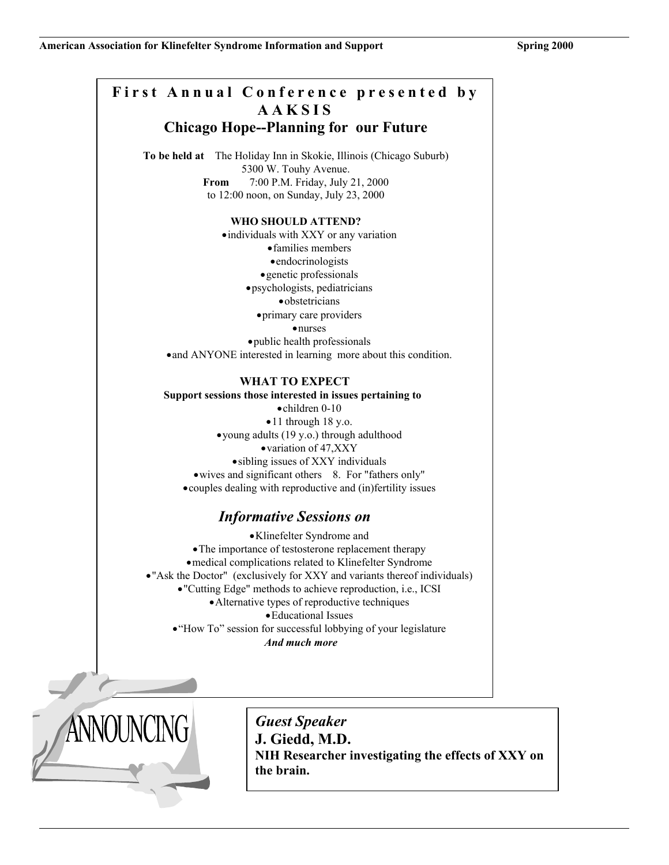# **First Annual Conference presented by AAKSIS Chicago Hope--Planning for our Future**

**To be held at** The Holiday Inn in Skokie, Illinois (Chicago Suburb) 5300 W. Touhy Avenue. **From** 7:00 P.M. Friday, July 21, 2000 to 12:00 noon, on Sunday, July 23, 2000

#### **WHO SHOULD ATTEND?**

• individuals with XXY or any variation • families members • endocrinologists • genetic professionals • psychologists, pediatricians • obstetricians • primary care providers • nurses • public health professionals • and ANYONE interested in learning more about this condition.

## **WHAT TO EXPECT**

**Support sessions those interested in issues pertaining to** 

• children 0-10 • 11 through 18 y.o. • young adults (19 y.o.) through adulthood • variation of 47,XXY • sibling issues of XXY individuals • wives and significant others 8. For "fathers only" • couples dealing with reproductive and (in)fertility issues

## *Informative Sessions on*

• Klinefelter Syndrome and • The importance of testosterone replacement therapy • medical complications related to Klinefelter Syndrome • "Ask the Doctor" (exclusively for XXY and variants thereof individuals) • "Cutting Edge" methods to achieve reproduction, i.e., ICSI • Alternative types of reproductive techniques • Educational Issues • "How To" session for successful lobbying of your legislature *And much more* 



*Guest Speaker*  **J. Giedd, M.D. NIH Researcher investigating the effects of XXY on the brain.**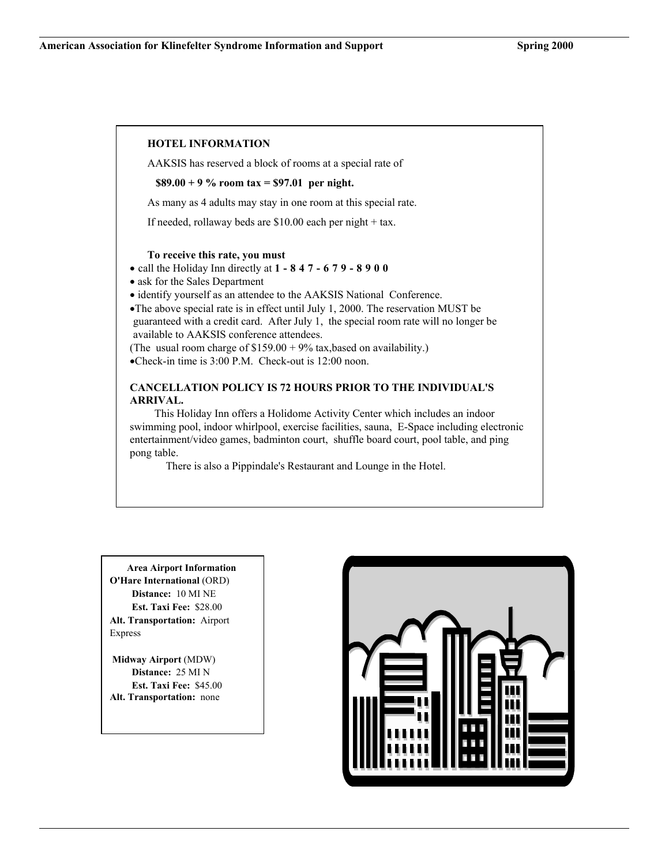## **HOTEL INFORMATION**

AAKSIS has reserved a block of rooms at a special rate of

**\$89.00 + 9 % room tax = \$97.01 per night.**

As many as 4 adults may stay in one room at this special rate.

If needed, rollaway beds are \$10.00 each per night + tax.

#### **To receive this rate, you must**

- call the Holiday Inn directly at **1-847-679-8900**
- ask for the Sales Department

• identify yourself as an attendee to the AAKSIS National Conference.

•The above special rate is in effect until July 1, 2000. The reservation MUST be guaranteed with a credit card. After July 1, the special room rate will no longer be available to AAKSIS conference attendees.

(The usual room charge of  $$159.00 + 9\%$  tax,based on availability.) •Check-in time is 3:00 P.M. Check-out is 12:00 noon.

## **CANCELLATION POLICY IS 72 HOURS PRIOR TO THE INDIVIDUAL'S ARRIVAL.**

 This Holiday Inn offers a Holidome Activity Center which includes an indoor swimming pool, indoor whirlpool, exercise facilities, sauna, E-Space including electronic entertainment/video games, badminton court, shuffle board court, pool table, and ping pong table.

There is also a Pippindale's Restaurant and Lounge in the Hotel.

 **Area Airport Information O'Hare International** (ORD) **Distance:** 10 MI NE **Est. Taxi Fee:** \$28.00 **Alt. Transportation:** Airport Express

**Midway Airport** (MDW) **Distance:** 25 MI N **Est. Taxi Fee:** \$45.00 **Alt. Transportation:** none